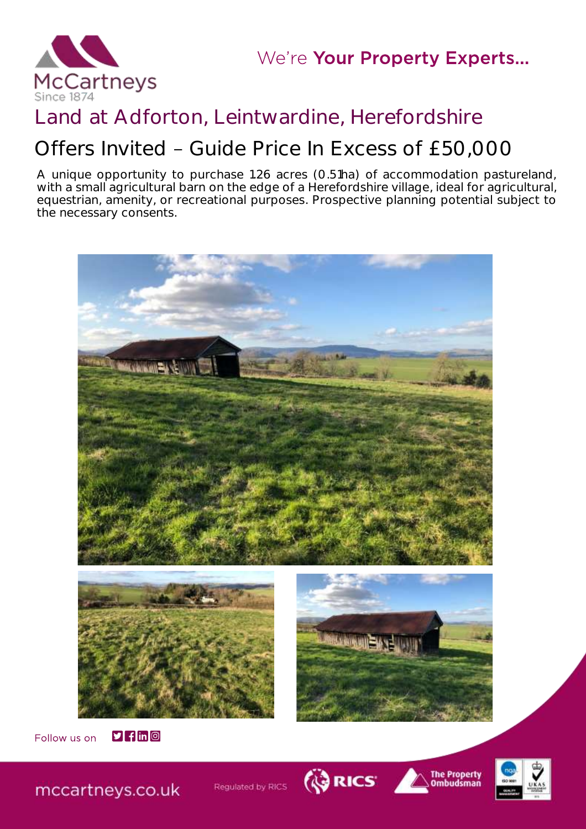

# Land at Adforton, Leintwardine, Herefordshire

# Offers Invited - Guide Price In Excess of £50,000

A unique opportunity to purchase 1.26 acres (0.51ha) of accommodation pastureland, with a small agricultural barn on the edge of a Herefordshire village, ideal for agricultural, equestrian, amenity, or recreational purposes. Prospective planning potential subject to the necessary consents.





mccartneys.co.uk

Regulated by RICS



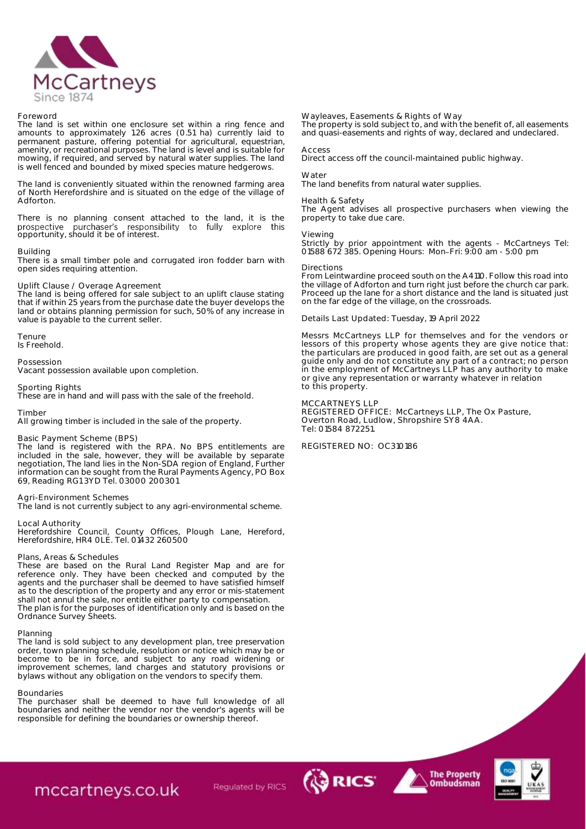

### Foreword

The land is set within one enclosure set within a ring fence and amounts to approximately 1.26 acres (0.51 ha) currently laid to permanent pasture, offering potential for agricultural, equestrian, amenity, or recreational purposes. The land is level and is suitable for mowing, if required, and served by natural water supplies. The land is well fenced and bounded by mixed species mature hedgerows.

The land is conveniently situated within the renowned farming area of North Herefordshire and is situated on the edge of the village of Adforton.

There is no planning consent attached to the land, it is the prospective purchaser's responsibility to fully explore this opportunity, should it be of interest.

### Building

There is a small timber pole and corrugated iron fodder barn with open sides requiring attention.

# Uplift Clause / Overage Agreement

The land is being offered for sale subject to an uplift clause stating that if within 25 years from the purchase date the buyer develops the land or obtains planning permission for such, 50% of any increase in value is payable to the current seller.

Tenure Is Freehold.

Possession

Vacant possession available upon completion.

Sporting Rights

These are in hand and will pass with the sale of the freehold.

# Timber

All growing timber is included in the sale of the property.

### Basic Payment Scheme (BPS)

The land is registered with the RPA. No BPS entitlements are included in the sale, however, they will be available by separate negotiation, The land lies in the Non-SDA region of England, Further information can be sought from the Rural Payments Agency, PO Box 69, Reading RG1 3YD Tel. 03000 200301

### Agri-Environment Schemes

The land is not currently subject to any agri-environmental scheme.

Local Authority

Herefordshire Council, County Offices, Plough Lane, Hereford, Herefordshire, HR4 0LE. Tel. 01432 260500

# Plans, Areas & Schedules

These are based on the Rural Land Register Map and are for reference only. They have been checked and computed by the agents and the purchaser shall be deemed to have satisfied himself as to the description of the property and any error or mis-statement shall not annul the sale, nor entitle either party to compensation. The plan is for the purposes of identification only and is based on the Ordnance Survey Sheets.

# Planning

The land is sold subject to any development plan, tree preservation order, town planning schedule, resolution or notice which may be or become to be in force, and subject to any road widening or improvement schemes, land charges and statutory provisions or bylaws without any obligation on the vendors to specify them.

# Boundaries

The purchaser shall be deemed to have full knowledge of all boundaries and neither the vendor nor the vendor's agents will be responsible for defining the boundaries or ownership thereof.

mccartneys.co.uk

## Wayleaves, Easements & Rights of Way

The property is sold subject to, and with the benefit of, all easements and quasi-easements and rights of way, declared and undeclared.

#### Access

Direct access off the council-maintained public highway.

# Water

The land benefits from natural water supplies.

Health & Safety The Agent advises all prospective purchasers when viewing the property to take due care.

### Viewing

Strictly by prior appointment with the agents - McCartneys Tel: 01588 672 385. Opening Hours: Mon Fri: 9:00 am - 5:00 pm

### Directions

From Leintwardine proceed south on the A4110. Follow this road into the village of Adforton and turn right just before the church car park. Proceed up the lane for a short distance and the land is situated just on the far edge of the village, on the crossroads.

Details Last Updated: Tuesday, 19 April 2022

Messrs McCartneys LLP for themselves and for the vendors or lessors of this property whose agents they are give notice that: the particulars are produced in good faith, are set out as a general guide only and do not constitute any part of a contract; no person in the employment of McCartneys LLP has any authority to make or give any representation or warranty whatever in relation to this property.

# MCCARTNEYS LLP

*CORICS* 

REGISTERED OFFICE: McCartneys LLP, The Ox Pasture, Overton Road, Ludlow, Shropshire SY8 4AA. Tel: 01584 872251.

REGISTERED NO: OC310186